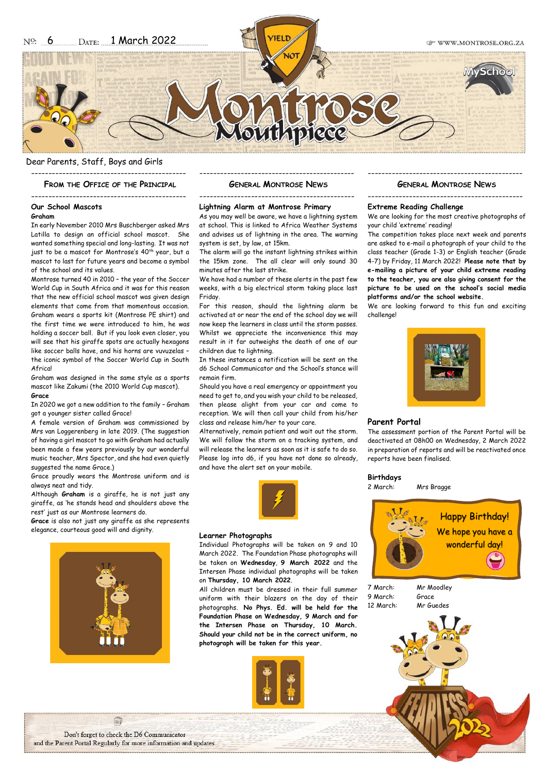### Dear Parents, Staff, Boys and Girls ---------------------------------------------

**FROM THE OFFICE OF THE PRINCIPAL**

#### ---------------------------------------------

### **Our School Mascots**

### **Graham**

In early November 2010 Mrs Buschberger asked Mrs Latilla to design an official school mascot. She wanted something special and long-lasting. It was not just to be a mascot for Montrose's 40<sup>th</sup> year, but a mascot to last for future years and become a symbol of the school and its values.

Montrose turned 40 in 2010 – the year of the Soccer World Cup in South Africa and it was for this reason that the new official school mascot was given design elements that come from that momentous occasion. Graham wears a sports kit (Montrose PE shirt) and the first time we were introduced to him, he was holding a soccer ball. But if you look even closer, you will see that his giraffe spots are actually hexagons like soccer balls have, and his horns are vuvuzelas – the iconic symbol of the Soccer World Cup in South **Africal** 

Graham was designed in the same style as a sports mascot like Zakumi (the 2010 World Cup mascot). **Grace**

In 2020 we got a new addition to the family – Graham got a younger sister called Grace!

A female version of Graham was commissioned by Mrs van Loggerenberg in late 2019. (The suggestion of having a girl mascot to go with Graham had actually been made a few years previously by our wonderful music teacher, Mrs Spector, and she had even quietly suggested the name Grace.)

Grace proudly wears the Montrose uniform and is always neat and tidy.

Although **Graham** is a giraffe, he is not just any giraffe, as 'he stands head and shoulders above the rest' just as our Montrose learners do.

**Grace** is also not just any giraffe as she represents elegance, courteous good will and dignity.



### --------------------------------------------- **GENERAL MONTROSE NEWS**

### --------------------------------------------- **Lightning Alarm at Montrose Primary**

As you may well be aware, we have a lightning system at school. This is linked to Africa Weather Systems and advises us of lightning in the area. The warning system is set, by law, at 15km.

The alarm will go the instant lightning strikes within the 15km zone. The all clear will only sound 30 minutes after the last strike.

We have had a number of these alerts in the past few weeks, with a big electrical storm taking place last Friday.

For this reason, should the lightning alarm be activated at or near the end of the school day we will now keep the learners in class until the storm passes. Whilst we appreciate the inconvenience this may result in it far outweighs the death of one of our children due to lightning.

In these instances a notification will be sent on the d6 School Communicator and the School's stance will remain firm.

Should you have a real emergency or appointment you need to get to, and you wish your child to be released, then please alight from your car and come to reception. We will then call your child from his/her class and release him/her to your care.

Alternatively, remain patient and wait out the storm. We will follow the storm on a tracking system, and will release the learners as soon as it is safe to do so. Please log into d6, if you have not done so already, and have the alert set on your mobile.



#### **Learner Photographs**

Individual Photographs will be taken on 9 and 10 March 2022. The Foundation Phase photographs will be taken on **Wednesday**, **9 March 2022** and the Intersen Phase individual photographs will be taken on **Thursday, 10 March 2022**.

All children must be dressed in their full summer uniform with their blazers on the day of their photographs. **No Phys. Ed. will be held for the Foundation Phase on Wednesday, 9 March and for the Intersen Phase on Thursday, 10 March. Should your child not be in the correct uniform, no photograph will be taken for this year.**



### --------------------------------------------- **GENERAL MONTROSE NEWS**

# ---------------------------------------------

## **Extreme Reading Challenge**

We are looking for the most creative photographs of your child 'extreme' reading!

The competition takes place next week and parents are asked to e-mail a photograph of your child to the class teacher (Grade 1-3) or English teacher (Grade 4-7) by Friday, 11 March 2022! **Please note that by e-mailing a picture of your child extreme reading to the teacher, you are also giving consent for the picture to be used on the school's social media platforms and/or the school website.**

We are looking forward to this fun and exciting challenge!



#### **Parent Portal**

The assessment portion of the Parent Portal will be deactivated at 08h00 on Wednesday, 2 March 2022 in preparation of reports and will be reactivated once reports have been finalised.

### **Birthdays**

#### 2 March: Mrs Bragge



7 March: Mr Moodley 9 March: Grace 12 March: Mr Guedes

Don't forget to check the D6 Communicator and the Parent Portal Regularly for more information and updates

自